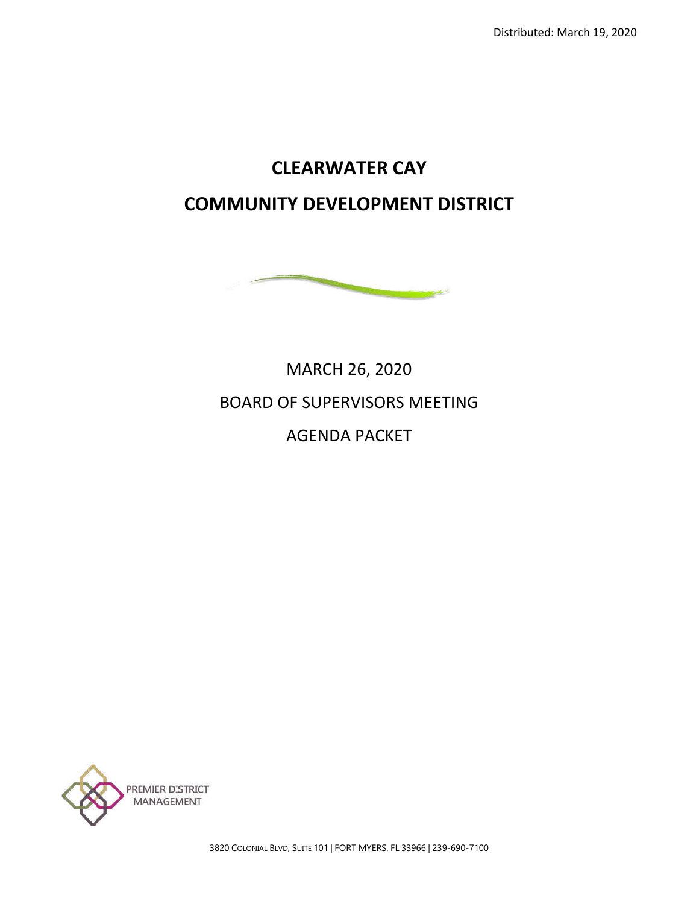# **CLEARWATER CAY COMMUNITY DEVELOPMENT DISTRICT**



# MARCH 26, 2020 BOARD OF SUPERVISORS MEETING AGENDA PACKET



3820 COLONIAL BLVD, SUITE 101 | FORT MYERS, FL 33966 | 239-690-7100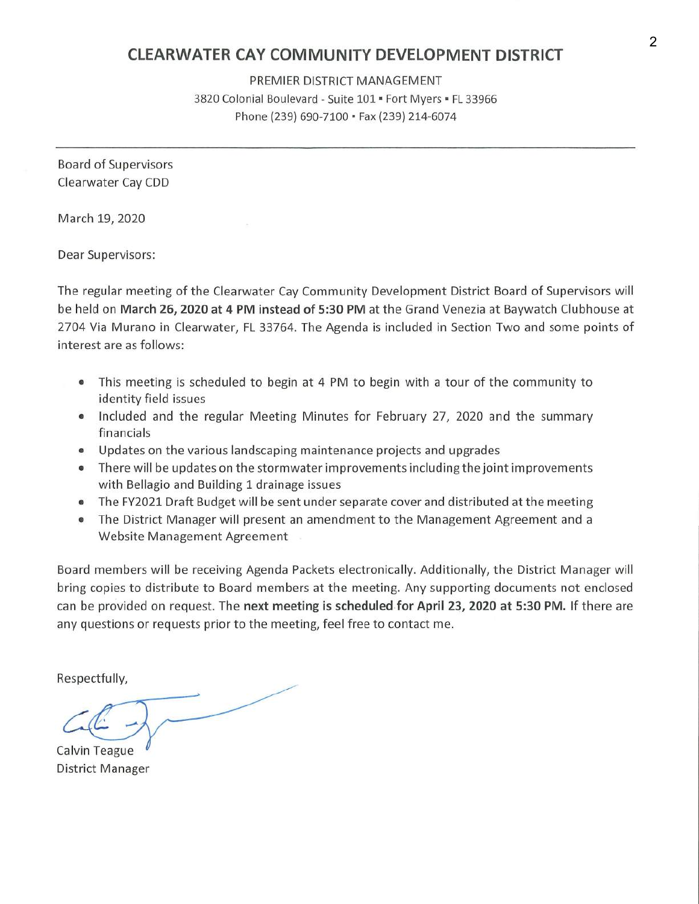## **CLEARWATER CAY COMMUNITY DEVELOPMENT DISTRICT**

PREMIER DISTRICT MANAGEMENT 3820 Colonial Boulevard - Suite 101 ■ Fort Myers ■ FL 33966 Phone (239) 690-7100 • Fax (239) 214-6074

Board of Supervisors Clearwater Cay CDD

March 19, 2020

Dear Supervisors:

The regular meeting of the Clearwater Cay Community Development District Board of Supervisors will be held on **March 26, 2020 at 4 PM instead of 5:30 PM** at the Grand Venezia at Baywatch Clubhouse at 2704 Via Murano in Clearwater, FL 33764. The Agenda is included in Section Two and some points of interest are as follows:

- This meeting is scheduled to begin at 4 PM to begin with a tour of the community to identity field issues
- Included and the regular Meeting Minutes for February 27, 2020 and the summary financials
- Updates on the various landscaping maintenance projects and upgrades
- There will be updates on the stormwater improvements including the joint improvements with Bellagio and Building 1 drainage issues
- The FY2021 Draft Budget will be sent under separate cover and distributed at the meeting
- The District Manager will present an amendment to the Management Agreement and a Website Management Agreement

Board members will be receiving Agenda Packets electronically. Additionally, the District Manager will bring copies to distribute to Board members at the meeting. Any supporting documents not enclosed can be provided on request. The **next meeting is scheduled for April 23, 2020 at 5:30 PM.** If there are any questions or requests prior to the meeting, feel free to contact me.

Respectfully,

Calvin Teague District Manager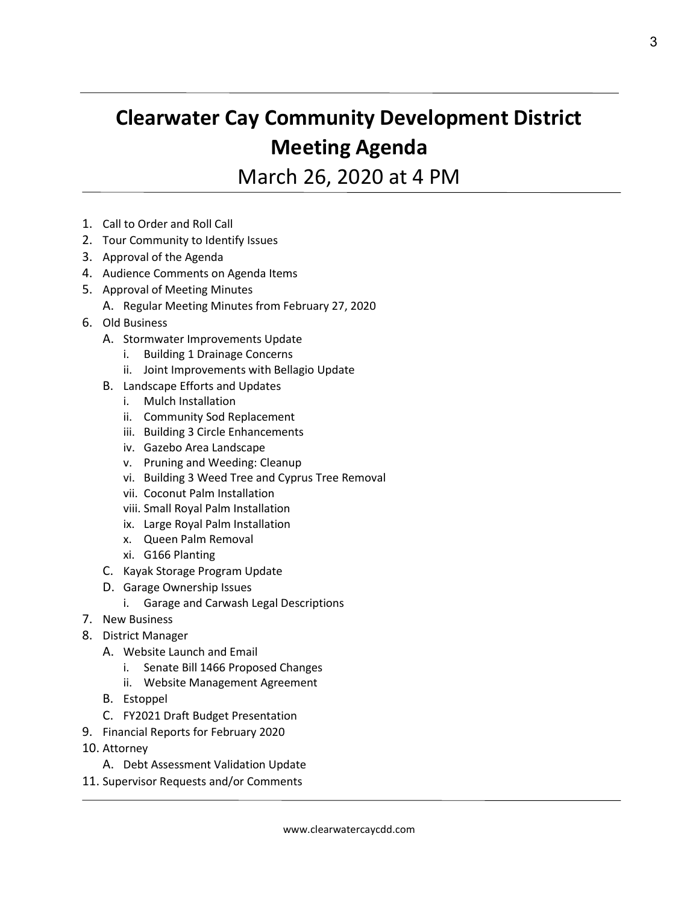# **Clearwater Cay Community Development District Meeting Agenda**

March 26, 2020 at 4 PM

- 1. Call to Order and Roll Call
- 2. Tour Community to Identify Issues
- 3. Approval of the Agenda
- 4. Audience Comments on Agenda Items
- 5. Approval of Meeting Minutes
	- A. Regular Meeting Minutes from February 27, 2020
- 6. Old Business
	- A. Stormwater Improvements Update
		- i. Building 1 Drainage Concerns
		- ii. Joint Improvements with Bellagio Update
	- B. Landscape Efforts and Updates
		- i. Mulch Installation
		- ii. Community Sod Replacement
		- iii. Building 3 Circle Enhancements
		- iv. Gazebo Area Landscape
		- v. Pruning and Weeding: Cleanup
		- vi. Building 3 Weed Tree and Cyprus Tree Removal
		- vii. Coconut Palm Installation
		- viii. Small Royal Palm Installation
		- ix. Large Royal Palm Installation
		- x. Queen Palm Removal
		- xi. G166 Planting
	- C. Kayak Storage Program Update
	- D. Garage Ownership Issues
		- i. Garage and Carwash Legal Descriptions
- 7. New Business
- 8. District Manager
	- A. Website Launch and Email
		- i. Senate Bill 1466 Proposed Changes
		- ii. Website Management Agreement
	- B. Estoppel
	- C. FY2021 Draft Budget Presentation
- 9. Financial Reports for February 2020
- 10. Attorney
	- A. Debt Assessment Validation Update
- 11. Supervisor Requests and/or Comments

3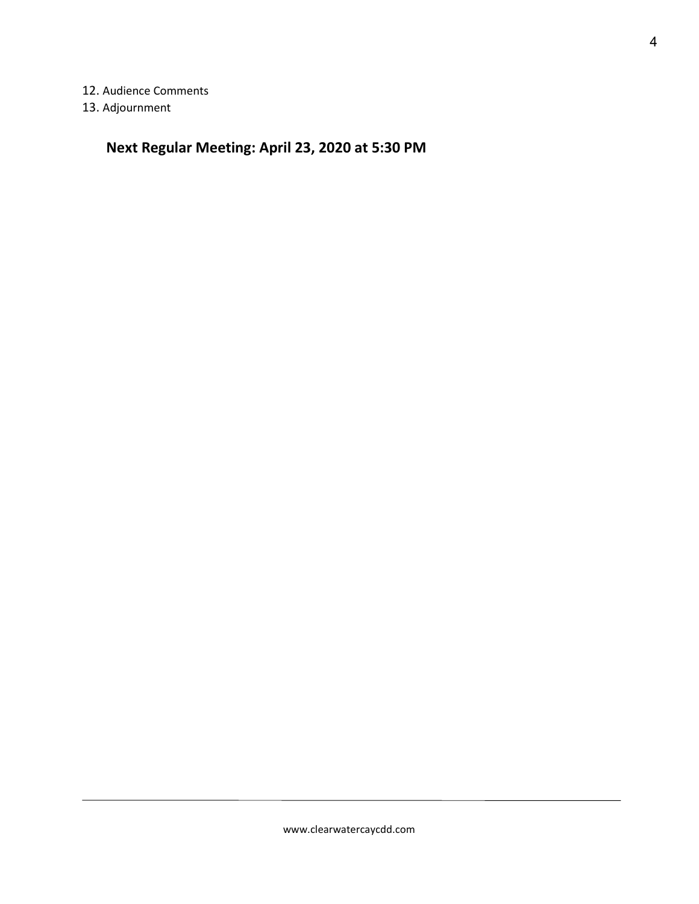12. Audience Comments

13. Adjournment

# **Next Regular Meeting: April 23, 2020 at 5:30 PM**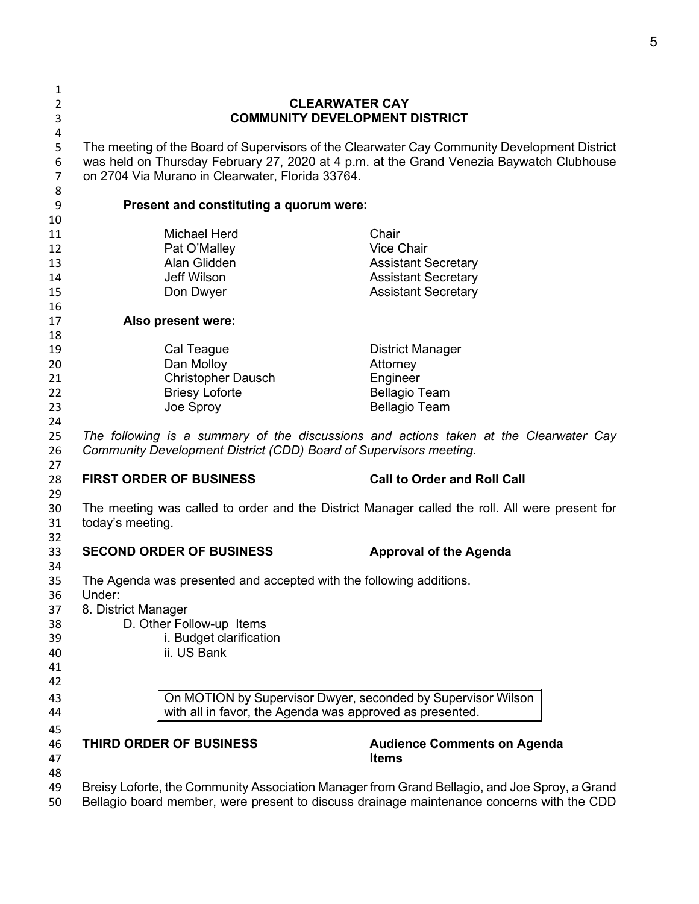| 1              |                                                                                                                          |                                    |  |  |  |
|----------------|--------------------------------------------------------------------------------------------------------------------------|------------------------------------|--|--|--|
| $\overline{2}$ | <b>CLEARWATER CAY</b>                                                                                                    |                                    |  |  |  |
| 3              | <b>COMMUNITY DEVELOPMENT DISTRICT</b>                                                                                    |                                    |  |  |  |
| 4              |                                                                                                                          |                                    |  |  |  |
| 5              | The meeting of the Board of Supervisors of the Clearwater Cay Community Development District                             |                                    |  |  |  |
| 6              | was held on Thursday February 27, 2020 at 4 p.m. at the Grand Venezia Baywatch Clubhouse                                 |                                    |  |  |  |
| $\overline{7}$ | on 2704 Via Murano in Clearwater, Florida 33764.                                                                         |                                    |  |  |  |
| 8              |                                                                                                                          |                                    |  |  |  |
| 9              | Present and constituting a quorum were:                                                                                  |                                    |  |  |  |
| 10             |                                                                                                                          |                                    |  |  |  |
| 11             | <b>Michael Herd</b>                                                                                                      | Chair                              |  |  |  |
| 12             | Pat O'Malley                                                                                                             | <b>Vice Chair</b>                  |  |  |  |
| 13             | Alan Glidden                                                                                                             | <b>Assistant Secretary</b>         |  |  |  |
| 14             | <b>Jeff Wilson</b>                                                                                                       | <b>Assistant Secretary</b>         |  |  |  |
| 15             | Don Dwyer                                                                                                                | <b>Assistant Secretary</b>         |  |  |  |
| 16             |                                                                                                                          |                                    |  |  |  |
| 17             | Also present were:                                                                                                       |                                    |  |  |  |
| 18             |                                                                                                                          |                                    |  |  |  |
| 19             | Cal Teague                                                                                                               | <b>District Manager</b>            |  |  |  |
| 20             | Dan Molloy                                                                                                               | Attorney                           |  |  |  |
| 21             | <b>Christopher Dausch</b>                                                                                                | Engineer                           |  |  |  |
| 22             | <b>Briesy Loforte</b>                                                                                                    | <b>Bellagio Team</b>               |  |  |  |
| 23             | Joe Sproy                                                                                                                | <b>Bellagio Team</b>               |  |  |  |
| 24             |                                                                                                                          |                                    |  |  |  |
| 25             | The following is a summary of the discussions and actions taken at the Clearwater Cay                                    |                                    |  |  |  |
| 26             | Community Development District (CDD) Board of Supervisors meeting.                                                       |                                    |  |  |  |
| 27             | <b>FIRST ORDER OF BUSINESS</b>                                                                                           | <b>Call to Order and Roll Call</b> |  |  |  |
| 28             |                                                                                                                          |                                    |  |  |  |
| 29             | The meeting was called to order and the District Manager called the roll. All were present for                           |                                    |  |  |  |
| 30<br>31       | today's meeting.                                                                                                         |                                    |  |  |  |
| 32             |                                                                                                                          |                                    |  |  |  |
| 33             | <b>SECOND ORDER OF BUSINESS</b>                                                                                          | <b>Approval of the Agenda</b>      |  |  |  |
| 34             |                                                                                                                          |                                    |  |  |  |
| 35             | The Agenda was presented and accepted with the following additions.                                                      |                                    |  |  |  |
| 36             | Under:                                                                                                                   |                                    |  |  |  |
| 37             | 8. District Manager                                                                                                      |                                    |  |  |  |
| 38             | D. Other Follow-up Items                                                                                                 |                                    |  |  |  |
| 39             | i. Budget clarification                                                                                                  |                                    |  |  |  |
| 40             | ii. US Bank                                                                                                              |                                    |  |  |  |
| 41             |                                                                                                                          |                                    |  |  |  |
| 42             |                                                                                                                          |                                    |  |  |  |
|                |                                                                                                                          |                                    |  |  |  |
| 43             | On MOTION by Supervisor Dwyer, seconded by Supervisor Wilson<br>with all in favor, the Agenda was approved as presented. |                                    |  |  |  |
| 44             |                                                                                                                          |                                    |  |  |  |
| 45             |                                                                                                                          |                                    |  |  |  |
| 46             | THIRD ORDER OF BUSINESS                                                                                                  | <b>Audience Comments on Agenda</b> |  |  |  |
| 47             |                                                                                                                          | <b>Items</b>                       |  |  |  |
| 48             |                                                                                                                          |                                    |  |  |  |
| 49             | Breisy Loforte, the Community Association Manager from Grand Bellagio, and Joe Sproy, a Grand                            |                                    |  |  |  |
| 50             | Bellagio board member, were present to discuss drainage maintenance concerns with the CDD                                |                                    |  |  |  |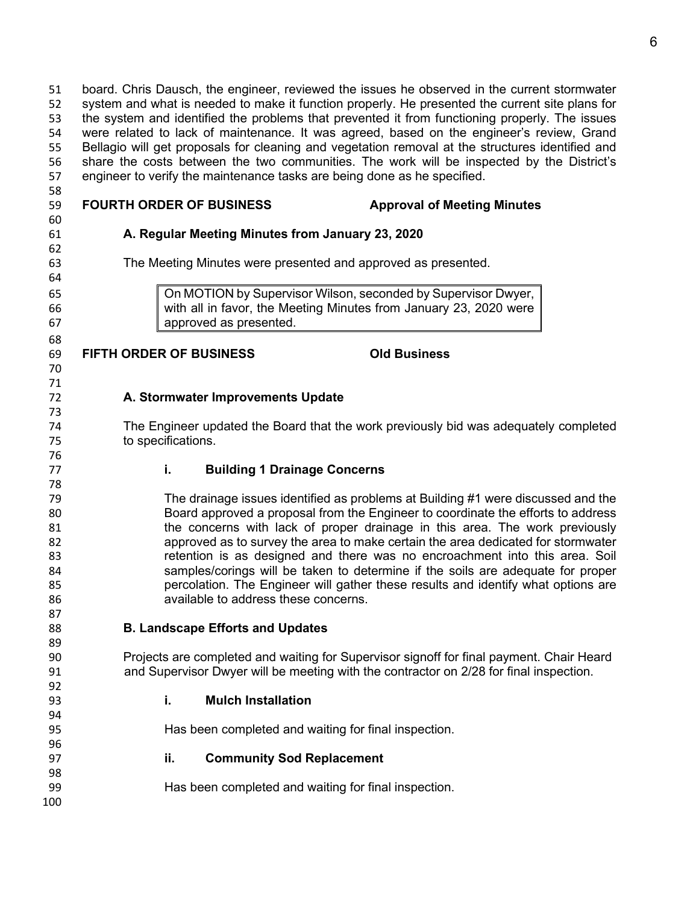board. Chris Dausch, the engineer, reviewed the issues he observed in the current stormwater system and what is needed to make it function properly. He presented the current site plans for the system and identified the problems that prevented it from functioning properly. The issues were related to lack of maintenance. It was agreed, based on the engineer's review, Grand Bellagio will get proposals for cleaning and vegetation removal at the structures identified and share the costs between the two communities. The work will be inspected by the District's engineer to verify the maintenance tasks are being done as he specified.

| 59 | <b>FOURTH ORDER OF BUSINESS</b>                  | <b>Approval of Meeting Minutes</b>                                       |
|----|--------------------------------------------------|--------------------------------------------------------------------------|
| 60 |                                                  |                                                                          |
| 61 | A. Regular Meeting Minutes from January 23, 2020 |                                                                          |
| 62 |                                                  |                                                                          |
| 63 |                                                  | The Meeting Minutes were presented and approved as presented.            |
| 64 |                                                  |                                                                          |
| 65 |                                                  | On MOTION by Supervisor Wilson, seconded by Supervisor Dwyer,            |
| 66 |                                                  | with all in favor, the Meeting Minutes from January 23, 2020 were        |
| 67 | approved as presented.                           |                                                                          |
| 68 |                                                  |                                                                          |
|    |                                                  |                                                                          |
| 69 | <b>FIFTH ORDER OF BUSINESS</b>                   | <b>Old Business</b>                                                      |
| 70 |                                                  |                                                                          |
| 71 |                                                  |                                                                          |
| 72 | A. Stormwater Improvements Update                |                                                                          |
| 73 |                                                  |                                                                          |
| 74 |                                                  | The Engineer updated the Board that the work previously bid was adequate |
| 75 | to specifications.                               |                                                                          |
| 76 |                                                  |                                                                          |
| 77 | i.                                               | <b>Building 1 Drainage Concerns</b>                                      |

#### The drainage issues identified as problems at Building #1 were discussed and the Board approved a proposal from the Engineer to coordinate the efforts to address 81 the concerns with lack of proper drainage in this area. The work previously approved as to survey the area to make certain the area dedicated for stormwater retention is as designed and there was no encroachment into this area. Soil samples/corings will be taken to determine if the soils are adequate for proper percolation. The Engineer will gather these results and identify what options are available to address these concerns.

**B. Landscape Efforts and Updates**

 Projects are completed and waiting for Supervisor signoff for final payment. Chair Heard and Supervisor Dwyer will be meeting with the contractor on 2/28 for final inspection.

**i. Mulch Installation**

Has been completed and waiting for final inspection.

 **ii. Community Sod Replacement** Has been completed and waiting for final inspection. 

# The Meeting Minutes were presented and approved as presented.

### **A. Stormwater Improvements Update**

The Engineer updated the Board that the work previously bid was adequately completed to specifications.

## **i. Building 1 Drainage Concerns**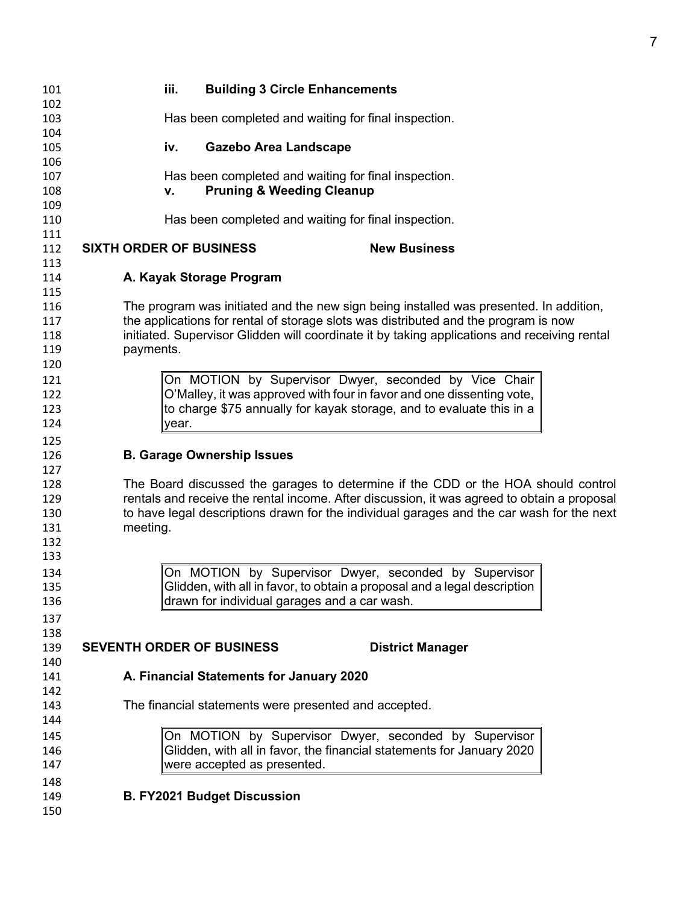| 101        |           | iii.<br><b>Building 3 Circle Enhancements</b>         |                                                                                              |
|------------|-----------|-------------------------------------------------------|----------------------------------------------------------------------------------------------|
| 102<br>103 |           | Has been completed and waiting for final inspection.  |                                                                                              |
| 104        |           |                                                       |                                                                                              |
| 105<br>106 |           | <b>Gazebo Area Landscape</b><br>iv.                   |                                                                                              |
| 107        |           | Has been completed and waiting for final inspection.  |                                                                                              |
| 108        |           | <b>Pruning &amp; Weeding Cleanup</b><br>v.            |                                                                                              |
| 109        |           |                                                       |                                                                                              |
| 110        |           | Has been completed and waiting for final inspection.  |                                                                                              |
| 111        |           |                                                       |                                                                                              |
| 112        |           | <b>SIXTH ORDER OF BUSINESS</b>                        | <b>New Business</b>                                                                          |
| 113        |           |                                                       |                                                                                              |
| 114        |           | A. Kayak Storage Program                              |                                                                                              |
| 115        |           |                                                       |                                                                                              |
| 116        |           |                                                       | The program was initiated and the new sign being installed was presented. In addition,       |
| 117        |           |                                                       | the applications for rental of storage slots was distributed and the program is now          |
| 118        |           |                                                       | initiated. Supervisor Glidden will coordinate it by taking applications and receiving rental |
| 119<br>120 | payments. |                                                       |                                                                                              |
|            |           |                                                       | On MOTION by Supervisor Dwyer, seconded by Vice Chair                                        |
| 121<br>122 |           |                                                       | O'Malley, it was approved with four in favor and one dissenting vote,                        |
| 123        |           |                                                       | to charge \$75 annually for kayak storage, and to evaluate this in a                         |
| 124        |           | year.                                                 |                                                                                              |
| 125        |           |                                                       |                                                                                              |
| 126        |           | <b>B. Garage Ownership Issues</b>                     |                                                                                              |
| 127        |           |                                                       |                                                                                              |
| 128        |           |                                                       | The Board discussed the garages to determine if the CDD or the HOA should control            |
| 129        |           |                                                       | rentals and receive the rental income. After discussion, it was agreed to obtain a proposal  |
| 130        |           |                                                       | to have legal descriptions drawn for the individual garages and the car wash for the next    |
| 131        | meeting.  |                                                       |                                                                                              |
| 132        |           |                                                       |                                                                                              |
| 133        |           |                                                       |                                                                                              |
| 134        |           |                                                       | On MOTION by Supervisor Dwyer, seconded by Supervisor                                        |
| 135        |           |                                                       | Glidden, with all in favor, to obtain a proposal and a legal description                     |
| 136        |           | drawn for individual garages and a car wash.          |                                                                                              |
| 137        |           |                                                       |                                                                                              |
| 138        |           |                                                       |                                                                                              |
| 139        |           | <b>SEVENTH ORDER OF BUSINESS</b>                      | <b>District Manager</b>                                                                      |
| 140        |           | A. Financial Statements for January 2020              |                                                                                              |
| 141<br>142 |           |                                                       |                                                                                              |
| 143        |           | The financial statements were presented and accepted. |                                                                                              |
| 144        |           |                                                       |                                                                                              |
| 145        |           |                                                       | On MOTION by Supervisor Dwyer, seconded by Supervisor                                        |
| 146        |           |                                                       | Glidden, with all in favor, the financial statements for January 2020                        |
| 147        |           | were accepted as presented.                           |                                                                                              |
|            |           |                                                       |                                                                                              |
| 148        |           |                                                       |                                                                                              |
| 149        |           | <b>B. FY2021 Budget Discussion</b>                    |                                                                                              |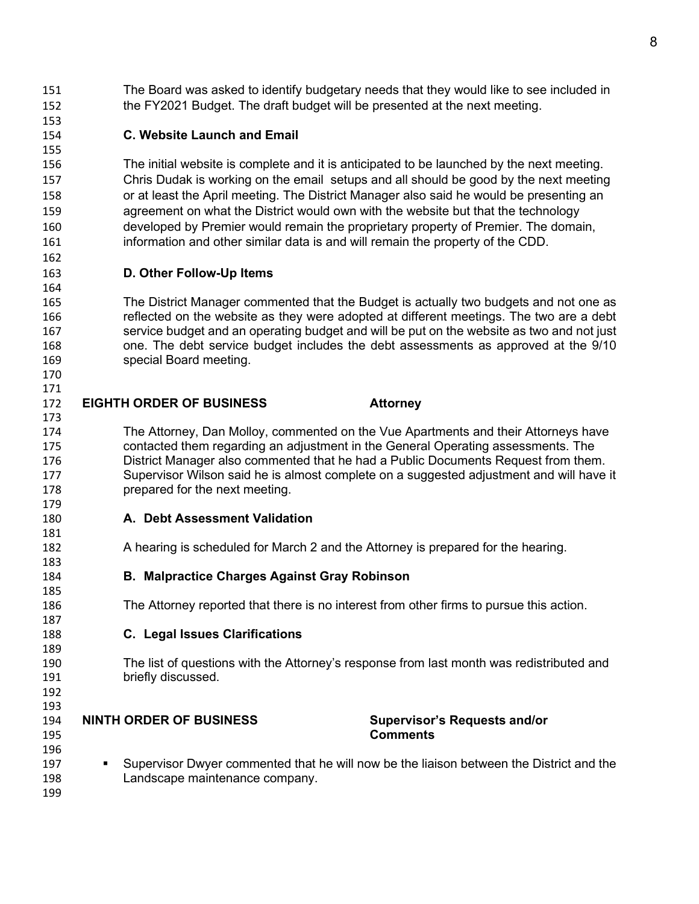The Board was asked to identify budgetary needs that they would like to see included in the FY2021 Budget. The draft budget will be presented at the next meeting.

### **C. Website Launch and Email**

 The initial website is complete and it is anticipated to be launched by the next meeting. Chris Dudak is working on the email setups and all should be good by the next meeting or at least the April meeting. The District Manager also said he would be presenting an agreement on what the District would own with the website but that the technology developed by Premier would remain the proprietary property of Premier. The domain, information and other similar data is and will remain the property of the CDD.

#### **D. Other Follow-Up Items**

 The District Manager commented that the Budget is actually two budgets and not one as reflected on the website as they were adopted at different meetings. The two are a debt service budget and an operating budget and will be put on the website as two and not just one. The debt service budget includes the debt assessments as approved at the 9/10 special Board meeting.

### **EIGHTH ORDER OF BUSINESS Attorney**

 The Attorney, Dan Molloy, commented on the Vue Apartments and their Attorneys have contacted them regarding an adjustment in the General Operating assessments. The District Manager also commented that he had a Public Documents Request from them. Supervisor Wilson said he is almost complete on a suggested adjustment and will have it prepared for the next meeting. 

- **A. Debt Assessment Validation**
- A hearing is scheduled for March 2 and the Attorney is prepared for the hearing.
- **B. Malpractice Charges Against Gray Robinson**
- The Attorney reported that there is no interest from other firms to pursue this action.
- **C. Legal Issues Clarifications**
- The list of questions with the Attorney's response from last month was redistributed and briefly discussed.
- **NINTH ORDER OF BUSINESS Supervisor's Requests and/or**
- **Comments**

 

- 
- Supervisor Dwyer commented that he will now be the liaison between the District and the Landscape maintenance company.
-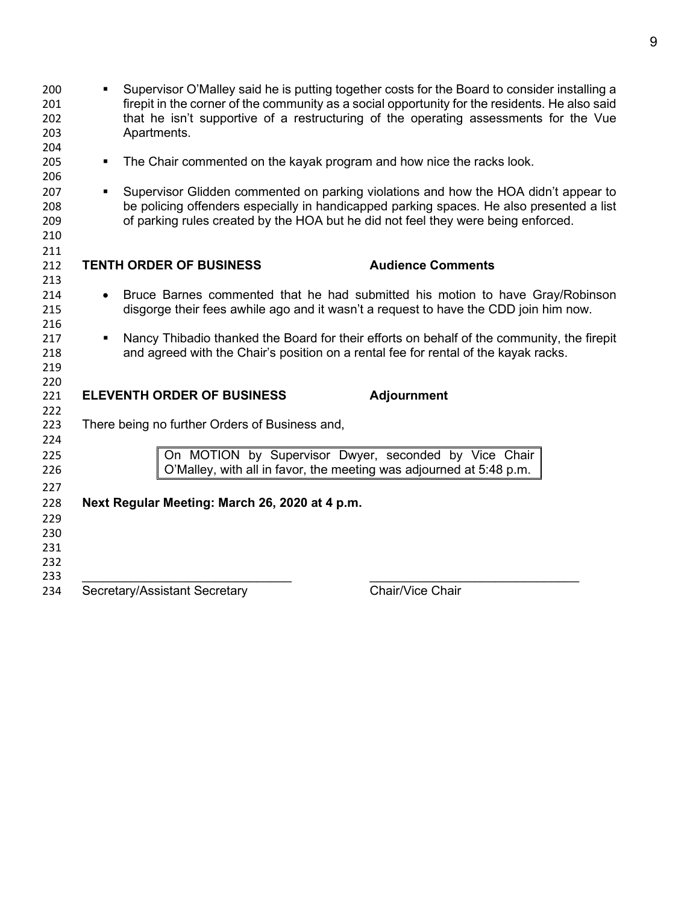| 200<br>201<br>202<br>203 | ٠                                                                                 | Apartments.                                                           | Supervisor O'Malley said he is putting together costs for the Board to consider installing a<br>firepit in the corner of the community as a social opportunity for the residents. He also said<br>that he isn't supportive of a restructuring of the operating assessments for the Vue |  |  |
|--------------------------|-----------------------------------------------------------------------------------|-----------------------------------------------------------------------|----------------------------------------------------------------------------------------------------------------------------------------------------------------------------------------------------------------------------------------------------------------------------------------|--|--|
| 204<br>205               | $\blacksquare$                                                                    | The Chair commented on the kayak program and how nice the racks look. |                                                                                                                                                                                                                                                                                        |  |  |
| 206                      |                                                                                   |                                                                       |                                                                                                                                                                                                                                                                                        |  |  |
| 207                      | $\blacksquare$                                                                    |                                                                       | Supervisor Glidden commented on parking violations and how the HOA didn't appear to                                                                                                                                                                                                    |  |  |
| 208                      |                                                                                   |                                                                       | be policing offenders especially in handicapped parking spaces. He also presented a list                                                                                                                                                                                               |  |  |
| 209                      | of parking rules created by the HOA but he did not feel they were being enforced. |                                                                       |                                                                                                                                                                                                                                                                                        |  |  |
| 210                      |                                                                                   |                                                                       |                                                                                                                                                                                                                                                                                        |  |  |
| 211<br>212               |                                                                                   | <b>TENTH ORDER OF BUSINESS</b>                                        | <b>Audience Comments</b>                                                                                                                                                                                                                                                               |  |  |
| 213                      |                                                                                   |                                                                       |                                                                                                                                                                                                                                                                                        |  |  |
| 214                      | $\bullet$                                                                         |                                                                       | Bruce Barnes commented that he had submitted his motion to have Gray/Robinson                                                                                                                                                                                                          |  |  |
| 215                      |                                                                                   |                                                                       | disgorge their fees awhile ago and it wasn't a request to have the CDD join him now.                                                                                                                                                                                                   |  |  |
| 216                      |                                                                                   |                                                                       |                                                                                                                                                                                                                                                                                        |  |  |
| 217                      | ٠                                                                                 |                                                                       | Nancy Thibadio thanked the Board for their efforts on behalf of the community, the firepit                                                                                                                                                                                             |  |  |
| 218<br>219               |                                                                                   |                                                                       | and agreed with the Chair's position on a rental fee for rental of the kayak racks.                                                                                                                                                                                                    |  |  |
| 220                      |                                                                                   |                                                                       |                                                                                                                                                                                                                                                                                        |  |  |
| 221                      |                                                                                   | <b>ELEVENTH ORDER OF BUSINESS</b>                                     | <b>Adjournment</b>                                                                                                                                                                                                                                                                     |  |  |
| 222                      |                                                                                   |                                                                       |                                                                                                                                                                                                                                                                                        |  |  |
| 223                      |                                                                                   | There being no further Orders of Business and,                        |                                                                                                                                                                                                                                                                                        |  |  |
| 224                      |                                                                                   |                                                                       |                                                                                                                                                                                                                                                                                        |  |  |
| 225<br>226               |                                                                                   | O'Malley, with all in favor, the meeting was adjourned at 5:48 p.m.   | On MOTION by Supervisor Dwyer, seconded by Vice Chair                                                                                                                                                                                                                                  |  |  |
|                          |                                                                                   |                                                                       |                                                                                                                                                                                                                                                                                        |  |  |
| 227<br>228               |                                                                                   | Next Regular Meeting: March 26, 2020 at 4 p.m.                        |                                                                                                                                                                                                                                                                                        |  |  |
| 229                      |                                                                                   |                                                                       |                                                                                                                                                                                                                                                                                        |  |  |
| 230                      |                                                                                   |                                                                       |                                                                                                                                                                                                                                                                                        |  |  |
| 231                      |                                                                                   |                                                                       |                                                                                                                                                                                                                                                                                        |  |  |
| 232                      |                                                                                   |                                                                       |                                                                                                                                                                                                                                                                                        |  |  |
| 233                      |                                                                                   |                                                                       |                                                                                                                                                                                                                                                                                        |  |  |
| 234                      |                                                                                   | Secretary/Assistant Secretary                                         | Chair/Vice Chair                                                                                                                                                                                                                                                                       |  |  |
|                          |                                                                                   |                                                                       |                                                                                                                                                                                                                                                                                        |  |  |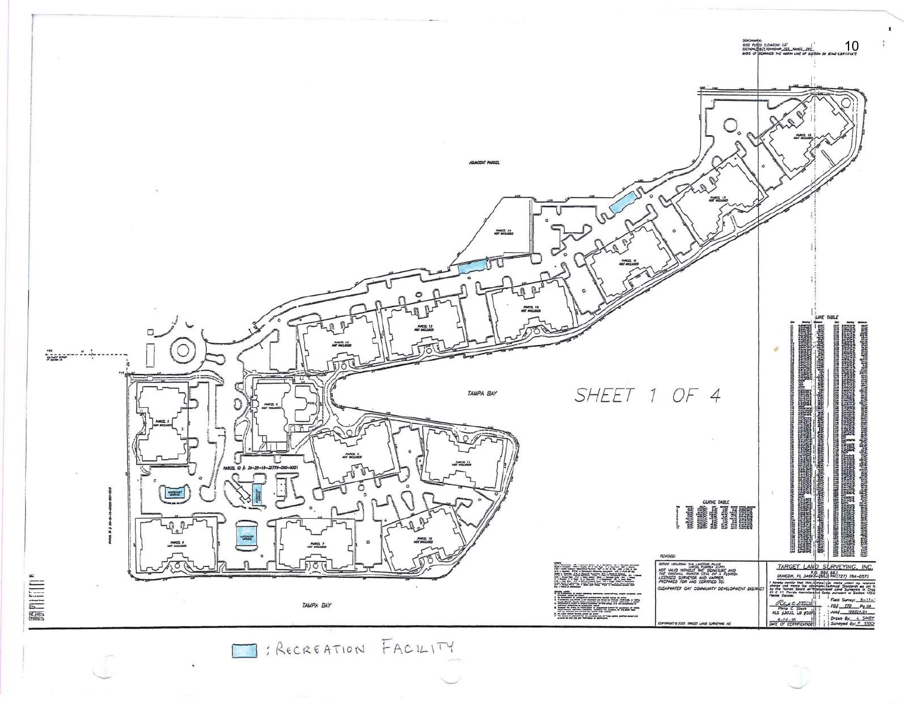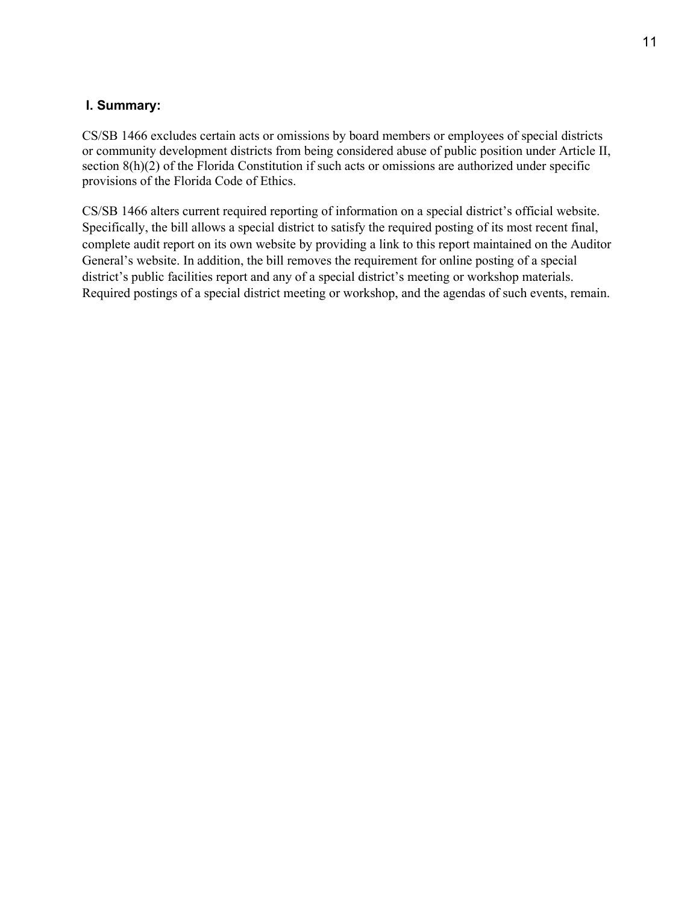#### **I. Summary:**

CS/SB 1466 excludes certain acts or omissions by board members or employees of special districts or community development districts from being considered abuse of public position under Article II, section 8(h)(2) of the Florida Constitution if such acts or omissions are authorized under specific provisions of the Florida Code of Ethics.

CS/SB 1466 alters current required reporting of information on a special district's official website. Specifically, the bill allows a special district to satisfy the required posting of its most recent final, complete audit report on its own website by providing a link to this report maintained on the Auditor General's website. In addition, the bill removes the requirement for online posting of a special district's public facilities report and any of a special district's meeting or workshop materials. Required postings of a special district meeting or workshop, and the agendas of such events, remain.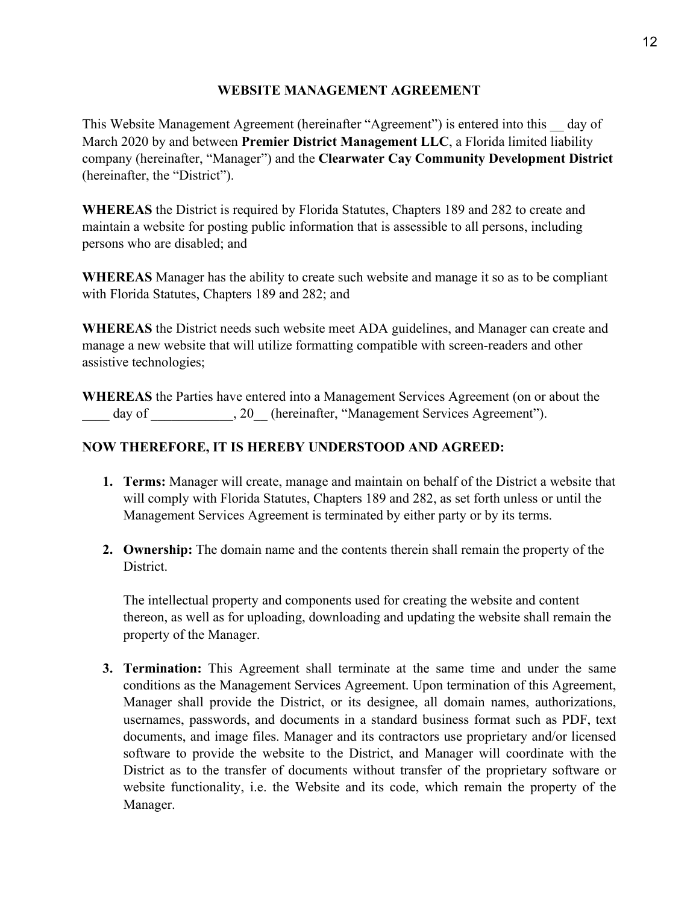#### **WEBSITE MANAGEMENT AGREEMENT**

This Website Management Agreement (hereinafter "Agreement") is entered into this \_\_ day of March 2020 by and between **Premier District Management LLC**, a Florida limited liability company (hereinafter, "Manager") and the **Clearwater Cay Community Development District**  (hereinafter, the "District").

**WHEREAS** the District is required by Florida Statutes, Chapters 189 and 282 to create and maintain a website for posting public information that is assessible to all persons, including persons who are disabled; and

**WHEREAS** Manager has the ability to create such website and manage it so as to be compliant with Florida Statutes, Chapters 189 and 282; and

**WHEREAS** the District needs such website meet ADA guidelines, and Manager can create and manage a new website that will utilize formatting compatible with screen-readers and other assistive technologies;

**WHEREAS** the Parties have entered into a Management Services Agreement (on or about the day of  $\qquad \qquad , 20$  (hereinafter, "Management Services Agreement").

#### **NOW THEREFORE, IT IS HEREBY UNDERSTOOD AND AGREED:**

- **1. Terms:** Manager will create, manage and maintain on behalf of the District a website that will comply with Florida Statutes, Chapters 189 and 282, as set forth unless or until the Management Services Agreement is terminated by either party or by its terms.
- **2. Ownership:** The domain name and the contents therein shall remain the property of the District.

The intellectual property and components used for creating the website and content thereon, as well as for uploading, downloading and updating the website shall remain the property of the Manager.

**3. Termination:** This Agreement shall terminate at the same time and under the same conditions as the Management Services Agreement. Upon termination of this Agreement, Manager shall provide the District, or its designee, all domain names, authorizations, usernames, passwords, and documents in a standard business format such as PDF, text documents, and image files. Manager and its contractors use proprietary and/or licensed software to provide the website to the District, and Manager will coordinate with the District as to the transfer of documents without transfer of the proprietary software or website functionality, i.e. the Website and its code, which remain the property of the Manager.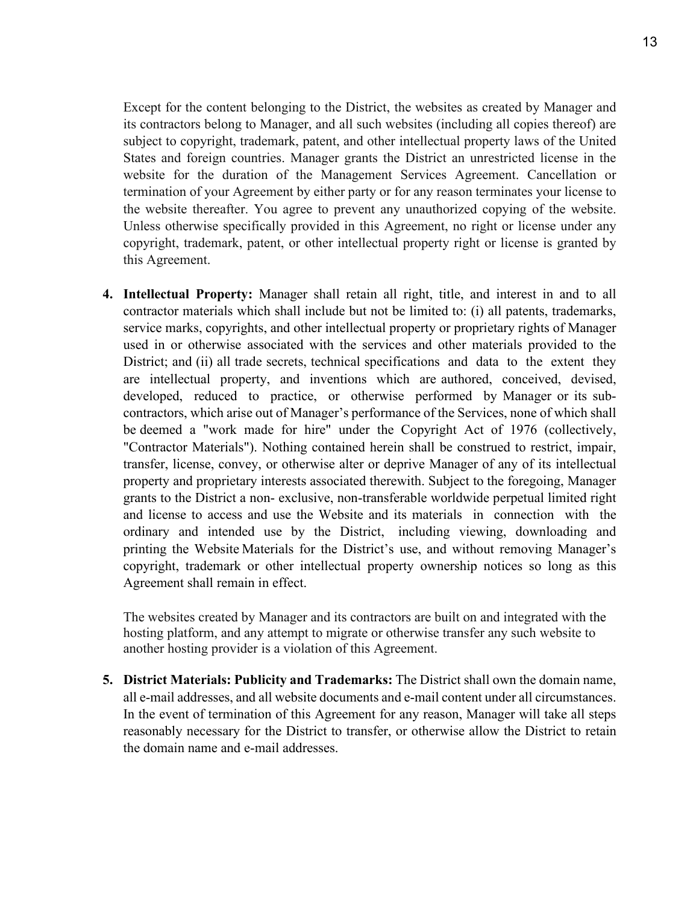Except for the content belonging to the District, the websites as created by Manager and its contractors belong to Manager, and all such websites (including all copies thereof) are subject to copyright, trademark, patent, and other intellectual property laws of the United States and foreign countries. Manager grants the District an unrestricted license in the website for the duration of the Management Services Agreement. Cancellation or termination of your Agreement by either party or for any reason terminates your license to the website thereafter. You agree to prevent any unauthorized copying of the website. Unless otherwise specifically provided in this Agreement, no right or license under any copyright, trademark, patent, or other intellectual property right or license is granted by this Agreement.

**4. Intellectual Property:** Manager shall retain all right, title, and interest in and to all contractor materials which shall include but not be limited to: (i) all patents, trademarks, service marks, copyrights, and other intellectual property or proprietary rights of Manager used in or otherwise associated with the services and other materials provided to the District; and (ii) all trade secrets, technical specifications and data to the extent they are intellectual property, and inventions which are authored, conceived, devised, developed, reduced to practice, or otherwise performed by Manager or its subcontractors, which arise out of Manager's performance of the Services, none of which shall be deemed a "work made for hire" under the Copyright Act of 1976 (collectively, "Contractor Materials"). Nothing contained herein shall be construed to restrict, impair, transfer, license, convey, or otherwise alter or deprive Manager of any of its intellectual property and proprietary interests associated therewith. Subject to the foregoing, Manager grants to the District a non- exclusive, non-transferable worldwide perpetual limited right and license to access and use the Website and its materials in connection with the ordinary and intended use by the District, including viewing, downloading and printing the Website Materials for the District's use, and without removing Manager's copyright, trademark or other intellectual property ownership notices so long as this Agreement shall remain in effect.

The websites created by Manager and its contractors are built on and integrated with the hosting platform, and any attempt to migrate or otherwise transfer any such website to another hosting provider is a violation of this Agreement.

**5. District Materials: Publicity and Trademarks:** The District shall own the domain name, all e-mail addresses, and all website documents and e-mail content under all circumstances. In the event of termination of this Agreement for any reason, Manager will take all steps reasonably necessary for the District to transfer, or otherwise allow the District to retain the domain name and e-mail addresses.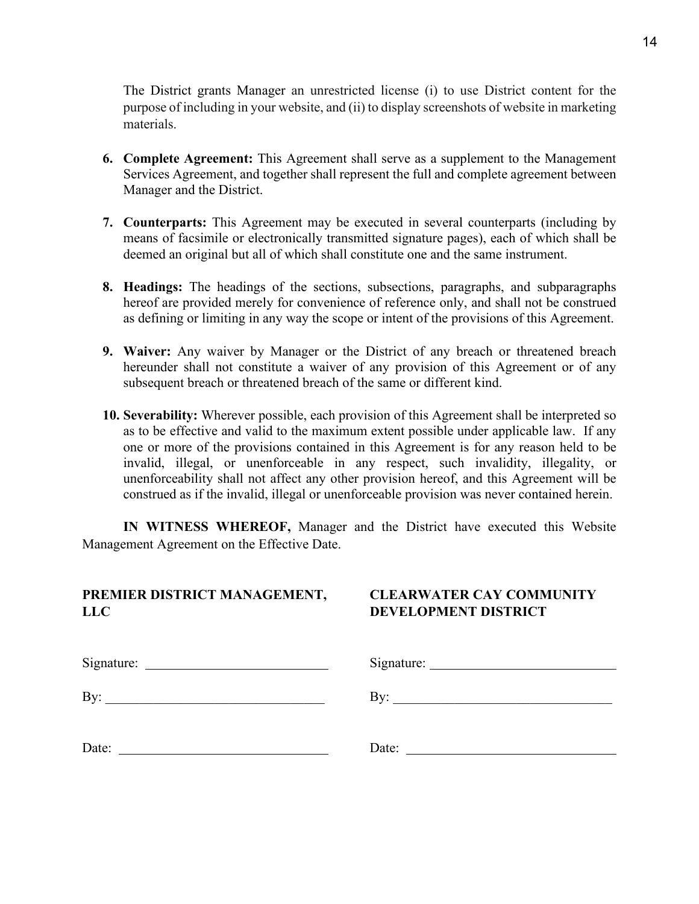The District grants Manager an unrestricted license (i) to use District content for the purpose of including in your website, and (ii) to display screenshots of website in marketing materials.

- **6. Complete Agreement:** This Agreement shall serve as a supplement to the Management Services Agreement, and together shall represent the full and complete agreement between Manager and the District.
- **7. Counterparts:** This Agreement may be executed in several counterparts (including by means of facsimile or electronically transmitted signature pages), each of which shall be deemed an original but all of which shall constitute one and the same instrument.
- **8. Headings:** The headings of the sections, subsections, paragraphs, and subparagraphs hereof are provided merely for convenience of reference only, and shall not be construed as defining or limiting in any way the scope or intent of the provisions of this Agreement.
- **9. Waiver:** Any waiver by Manager or the District of any breach or threatened breach hereunder shall not constitute a waiver of any provision of this Agreement or of any subsequent breach or threatened breach of the same or different kind.
- **10. Severability:** Wherever possible, each provision of this Agreement shall be interpreted so as to be effective and valid to the maximum extent possible under applicable law. If any one or more of the provisions contained in this Agreement is for any reason held to be invalid, illegal, or unenforceable in any respect, such invalidity, illegality, or unenforceability shall not affect any other provision hereof, and this Agreement will be construed as if the invalid, illegal or unenforceable provision was never contained herein.

**IN WITNESS WHEREOF,** Manager and the District have executed this Website Management Agreement on the Effective Date.

#### **PREMIER DISTRICT MANAGEMENT, CLEARWATER CAY COMMUNITY LLC DEVELOPMENT DISTRICT**

| By:   | By:   |
|-------|-------|
| Date: | Date: |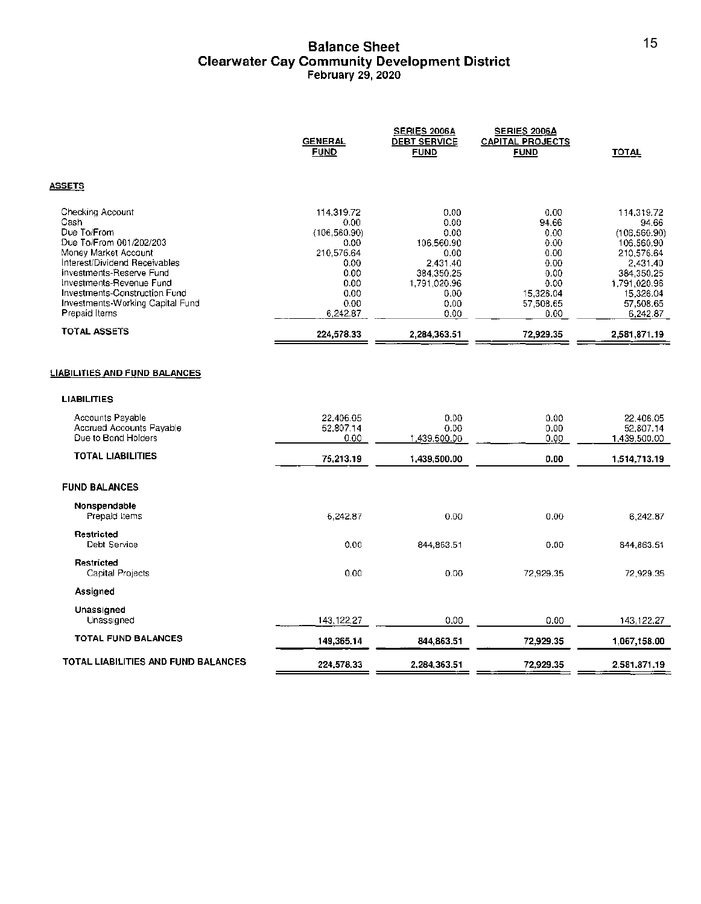#### **Balance Sheet Clearwater Cay Community Development District February 29, 2020**

|                                                                                                                                                                                                                                                                           | <b>GENERAL</b><br><b>FUND</b>                                                                                 | SERIES 2006A<br><b>DEBT SERVICE</b><br><b>FUND</b>                                                           | <b>SERIES 2006A</b><br><b>CAPITAL PROJECTS</b><br><b>FUND</b>                                   | <b>TOTAL</b>                                                                                                                                     |
|---------------------------------------------------------------------------------------------------------------------------------------------------------------------------------------------------------------------------------------------------------------------------|---------------------------------------------------------------------------------------------------------------|--------------------------------------------------------------------------------------------------------------|-------------------------------------------------------------------------------------------------|--------------------------------------------------------------------------------------------------------------------------------------------------|
| <u>ASSETS</u>                                                                                                                                                                                                                                                             |                                                                                                               |                                                                                                              |                                                                                                 |                                                                                                                                                  |
| Checking Account<br>Cash<br>Due To/From<br>Due To/From 001/202/203<br>Money Market Account<br>Interest/Dividend Receivables<br>investments-Reserve Fund<br>Investments-Revenue Fund<br>Investments-Construction Fund<br>Investments-Working Capital Fund<br>Prepaid Items | 114.319.72<br>0.00<br>(106, 560.90)<br>0.00<br>210,576.64<br>0.00<br>0.00<br>0.00<br>0.00<br>0.00<br>6,242.87 | 0.00<br>0.00<br>0.00<br>106.560.90<br>0.00<br>2,431.40<br>384,350.25<br>1,791,020.96<br>0.00<br>0.00<br>0.00 | 0.00<br>94.66<br>0.00<br>0.00<br>0.00<br>0.00<br>0.00<br>0.00<br>15,326.04<br>57,508.65<br>0.00 | 114,319.72<br>94.66<br>(106, 560.90)<br>106,560.90<br>210,576.64<br>2,431.40<br>384,350.25<br>1,791,020.96<br>15,326.04<br>57,508.65<br>6,242.87 |
| TOTAL ASSETS                                                                                                                                                                                                                                                              | 224,578.33                                                                                                    | 2,284,363.51                                                                                                 | 72,929.35                                                                                       | 2,581,871.19                                                                                                                                     |
| <b>LIABILITIES AND FUND BALANCES</b><br><b>LIABILITIES</b><br>Accounts Payable<br>Accrued Accounts Payable<br>Due to Bond Holders                                                                                                                                         | 22.406.05<br>52,807.14<br>0.00                                                                                | 0.00<br>0.00<br>1,439,500.00                                                                                 | 0.00<br>0.00<br>0.00                                                                            | 22.406.05<br>52,807.14<br>1,439,500.00                                                                                                           |
| <b>TOTAL LIABILITIES</b>                                                                                                                                                                                                                                                  | 75,213.19                                                                                                     | 1,439,500.00                                                                                                 | 0.00                                                                                            | 1,514,713.19                                                                                                                                     |
| <b>FUND BALANCES</b>                                                                                                                                                                                                                                                      |                                                                                                               |                                                                                                              |                                                                                                 |                                                                                                                                                  |
| Nonspendable<br>Prepaid Items                                                                                                                                                                                                                                             | 6.242.87                                                                                                      | 0.00                                                                                                         | 0.00                                                                                            | 6,242.87                                                                                                                                         |
| Restricted<br>Debt Service                                                                                                                                                                                                                                                | 0.00                                                                                                          | 844,863.51                                                                                                   | 0.00                                                                                            | 844, 863.51                                                                                                                                      |
| Restricted<br>Capital Projects                                                                                                                                                                                                                                            | 0.00                                                                                                          | 0.00                                                                                                         | 72,929.35                                                                                       | 72,929.35                                                                                                                                        |
| Assigned                                                                                                                                                                                                                                                                  |                                                                                                               |                                                                                                              |                                                                                                 |                                                                                                                                                  |
| Unassigned<br>Unassigned                                                                                                                                                                                                                                                  | 143,122.27                                                                                                    | 0.00                                                                                                         | 0.00                                                                                            | 143,122.27                                                                                                                                       |
| TOTAL FUND BALANCES                                                                                                                                                                                                                                                       | 149,365.14                                                                                                    | 844,863.51                                                                                                   | 72,929.35                                                                                       | 1,067,158.00                                                                                                                                     |
| TOTAL LIABILITIES AND FUND BALANCES                                                                                                                                                                                                                                       | 224,578.33                                                                                                    | 2,284,363.51                                                                                                 | 72,929.35                                                                                       | 2,581,871.19                                                                                                                                     |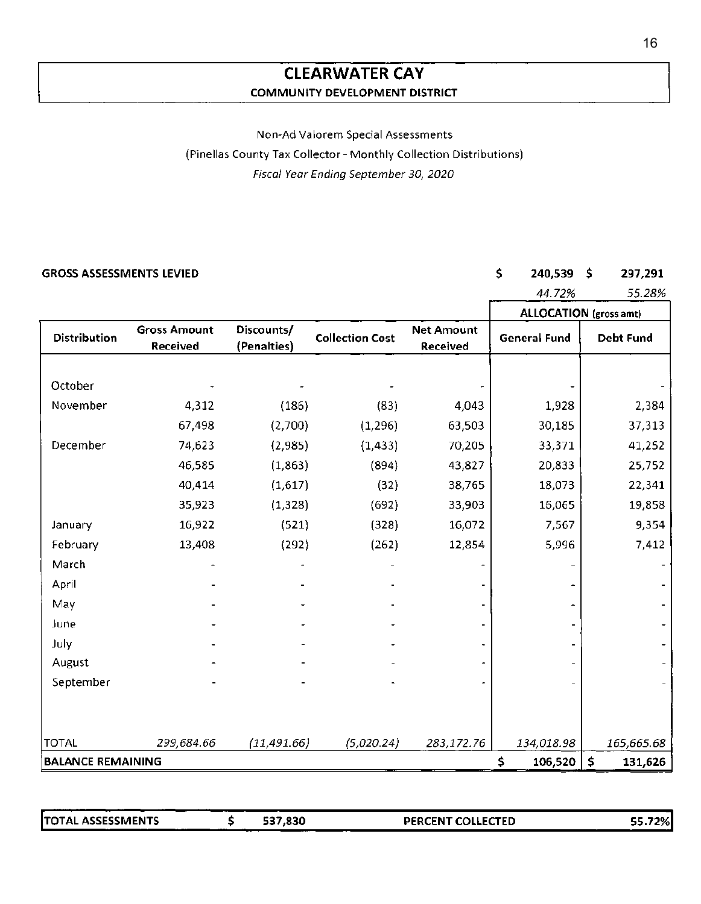### **CLEARWATER CAY COMMUNITY DEVELOPMENT DISTRICT**

#### Non-Ad Valorem Special Assessments

(Pinellas County Tax Collector - Monthly Collection Distributions)

Fiscal Year Ending September 30, 2020

#### **GROSS ASSESSMENTS LEVIED** \$ **240,539** \$

### **297,291**

|                          |                                 |                           |                        |                               | 44.72%                 | 55.28%           |
|--------------------------|---------------------------------|---------------------------|------------------------|-------------------------------|------------------------|------------------|
|                          |                                 |                           |                        |                               | ALLOCATION (gross amt) |                  |
| Distribution             | <b>Gross Amount</b><br>Received | Discounts/<br>(Penalties) | <b>Collection Cost</b> | <b>Net Amount</b><br>Received | <b>General Fund</b>    | <b>Debt Fund</b> |
| October                  |                                 |                           |                        |                               |                        |                  |
| November                 | 4,312                           | (186)                     | (83)                   | 4,043                         | 1,928                  | 2,384            |
|                          | 67,498                          | (2,700)                   | (1, 296)               | 63,503                        | 30,185                 | 37,313           |
| December                 | 74,623                          | (2,985)                   | (1, 433)               | 70,205                        | 33,371                 | 41,252           |
|                          | 46,585                          | (1, 863)                  | (894)                  | 43,827                        | 20,833                 | 25,752           |
|                          | 40,414                          | (1,617)                   | (32)                   | 38,765                        | 18,073                 | 22,341           |
|                          | 35,923                          | (1, 328)                  | (692)                  | 33,903                        | 16,065                 | 19,858           |
| January                  | 16,922                          | (521)                     | (328)                  | 16,072                        | 7,567                  | 9,354            |
| February                 | 13,408                          | (292)                     | (262)                  | 12,854                        | 5,996                  | 7,412            |
| March                    |                                 |                           |                        |                               |                        |                  |
| April                    |                                 |                           |                        |                               |                        |                  |
| May                      |                                 |                           |                        |                               |                        |                  |
| June                     |                                 |                           |                        |                               |                        |                  |
| July                     |                                 |                           |                        |                               |                        |                  |
| August                   |                                 |                           |                        |                               |                        |                  |
| September                |                                 |                           |                        |                               |                        |                  |
|                          |                                 |                           |                        |                               |                        |                  |
| <b>TOTAL</b>             | 299,684.66                      | (11, 491.66)              | (5,020.24)             | 283,172.76                    | 134,018.98             | 165,665.68       |
| <b>BALANCE REMAINING</b> |                                 |                           |                        |                               | \$<br>106,520          | \$<br>131,626    |

ITOTAL ASSESSMENTS \$ **537,830 PERCENT COLLECTED** 

55.72%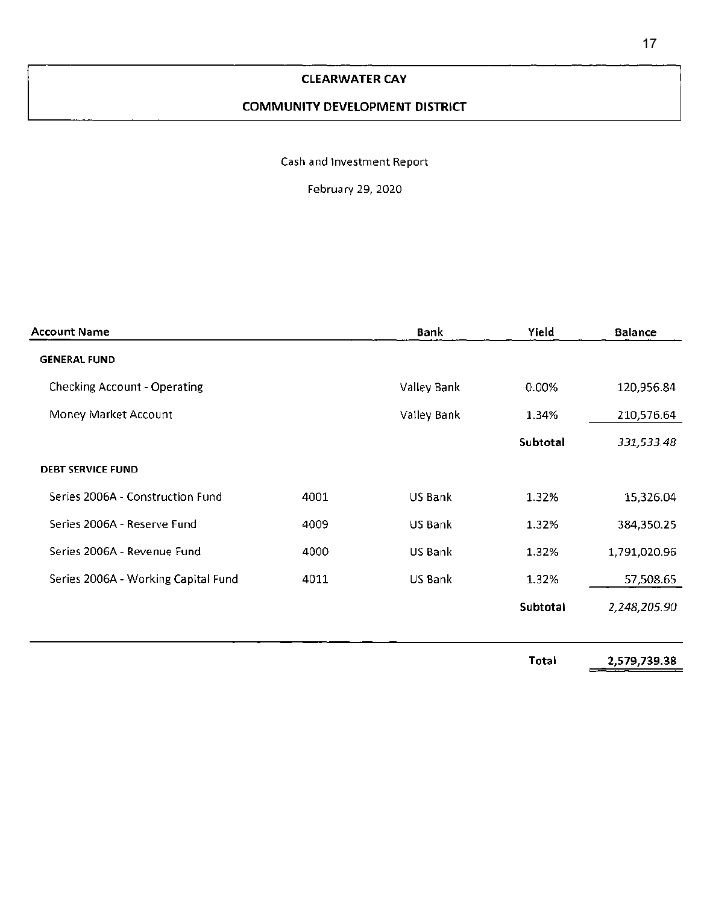#### **CLEARWATER CAY**

#### **COMMUNITY DEVELOPMENT DISTRICT**

#### Cash and Investment Report

February 29, 2020

| <b>Account Name</b>                 | Bank | Yield       | <b>Balance</b> |              |
|-------------------------------------|------|-------------|----------------|--------------|
| <b>GENERAL FUND</b>                 |      |             |                |              |
| <b>Checking Account - Operating</b> |      | Valley Bank | 0.00%          | 120,956.84   |
| Money Market Account                |      | Valley Bank | 1.34%          | 210,576.64   |
|                                     |      |             | Subtotal       | 331,533.48   |
| <b>DEBT SERVICE FUND</b>            |      |             |                |              |
| Series 2006A - Construction Fund    | 4001 | US Bank     | 1.32%          | 15,326.04    |
| Series 2006A - Reserve Fund         | 4009 | US Bank     | 1.32%          | 384,350.25   |
| Series 2006A - Revenue Fund         | 4000 | US Bank     | 1.32%          | 1,791,020.96 |
| Series 2006A - Working Capital Fund | 4011 | US Bank     | 1.32%          | 57,508.65    |
|                                     |      |             | Subtotal       | 2,248,205.90 |
|                                     |      |             |                |              |
|                                     |      |             |                |              |

**Total [2,579,739.38](https://2,579,739.38)**